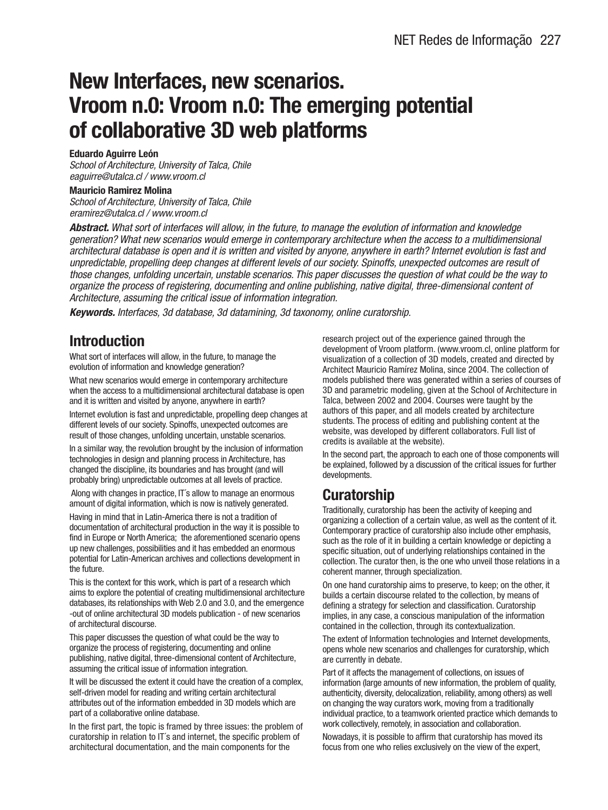## **New Interfaces, new scenarios. Vroom n.0: Vroom n.0: The emerging potential of collaborative 3D web platforms**

#### **Eduardo Aguirre León**

School of Architecture, University of Talca, Chile eaguirre@utalca.cl / www.vroom.cl

#### **Mauricio Ramirez Molina**

School of Architecture, University of Talca, Chile eramirez@utalca.cl / www.vroom.cl

**Abstract.** What sort of interfaces will allow, in the future, to manage the evolution of information and knowledge generation? What new scenarios would emerge in contemporary architecture when the access to a multidimensional architectural database is open and it is written and visited by anyone, anywhere in earth? Internet evolution is fast and unpredictable, propelling deep changes at different levels of our society. Spinoffs, unexpected outcomes are result of those changes, unfolding uncertain, unstable scenarios. This paper discusses the question of what could be the way to organize the process of registering, documenting and online publishing, native digital, three-dimensional content of Architecture, assuming the critical issue of information integration.

**Keywords.** Interfaces, 3d database, 3d datamining, 3d taxonomy, online curatorship.

#### **Introduction**

What sort of interfaces will allow, in the future, to manage the evolution of information and knowledge generation?

What new scenarios would emerge in contemporary architecture when the access to a multidimensional architectural database is open and it is written and visited by anyone, anywhere in earth?

Internet evolution is fast and unpredictable, propelling deep changes at different levels of our society. Spinoffs, unexpected outcomes are result of those changes, unfolding uncertain, unstable scenarios.

In a similar way, the revolution brought by the inclusion of information technologies in design and planning process in Architecture, has changed the discipline, its boundaries and has brought (and will probably bring) unpredictable outcomes at all levels of practice.

Along with changes in practice, IT´s allow to manage an enormous amount of digital information, which is now is natively generated.

Having in mind that in Latin-America there is not a tradition of documentation of architectural production in the way it is possible to find in Europe or North America; the aforementioned scenario opens up new challenges, possibilities and it has embedded an enormous potential for Latin-American archives and collections development in the future.

This is the context for this work, which is part of a research which aims to explore the potential of creating multidimensional architecture databases, its relationships with Web 2.0 and 3.0, and the emergence -out of online architectural 3D models publication - of new scenarios of architectural discourse.

This paper discusses the question of what could be the way to organize the process of registering, documenting and online publishing, native digital, three-dimensional content of Architecture, assuming the critical issue of information integration.

It will be discussed the extent it could have the creation of a complex, self-driven model for reading and writing certain architectural attributes out of the information embedded in 3D models which are part of a collaborative online database.

In the first part, the topic is framed by three issues: the problem of curatorship in relation to IT´s and internet, the specific problem of architectural documentation, and the main components for the

research project out of the experience gained through the development of Vroom platform. (www.vroom.cl, online platform for visualization of a collection of 3D models, created and directed by Architect Mauricio Ramírez Molina, since 2004. The collection of models published there was generated within a series of courses of 3D and parametric modeling, given at the School of Architecture in Talca, between 2002 and 2004. Courses were taught by the authors of this paper, and all models created by architecture students. The process of editing and publishing content at the website, was developed by different collaborators. Full list of credits is available at the website).

In the second part, the approach to each one of those components will be explained, followed by a discussion of the critical issues for further developments.

## **Curatorship**

Traditionally, curatorship has been the activity of keeping and organizing a collection of a certain value, as well as the content of it. Contemporary practice of curatorship also include other emphasis, such as the role of it in building a certain knowledge or depicting a specific situation, out of underlying relationships contained in the collection. The curator then, is the one who unveil those relations in a coherent manner, through specialization.

On one hand curatorship aims to preserve, to keep; on the other, it builds a certain discourse related to the collection, by means of defining a strategy for selection and classification. Curatorship implies, in any case, a conscious manipulation of the information contained in the collection, through its contextualization.

The extent of Information technologies and Internet developments, opens whole new scenarios and challenges for curatorship, which are currently in debate.

Part of it affects the management of collections, on issues of information (large amounts of new information, the problem of quality, authenticity, diversity, delocalization, reliability, among others) as well on changing the way curators work, moving from a traditionally individual practice, to a teamwork oriented practice which demands to work collectively, remotely, in association and collaboration.

Nowadays, it is possible to affirm that curatorship has moved its focus from one who relies exclusively on the view of the expert,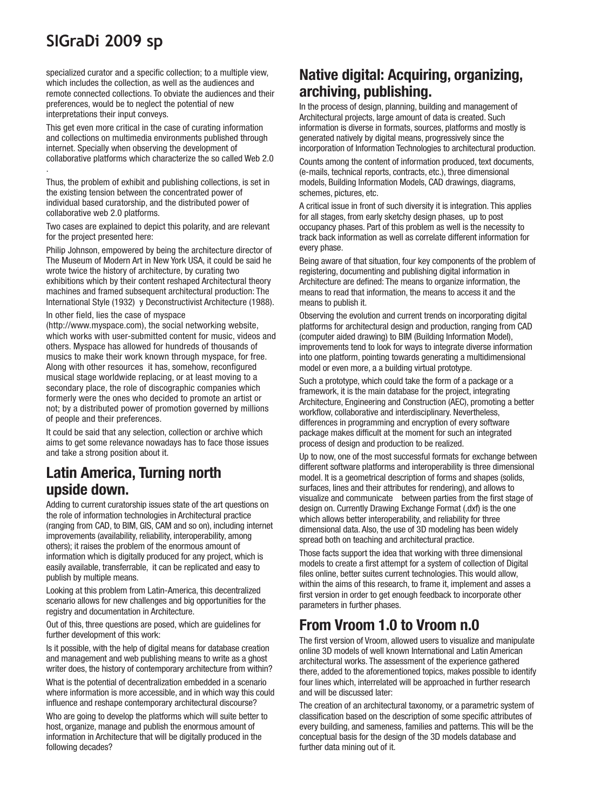# **SIGraDi 2009 sp**

specialized curator and a specific collection; to a multiple view, which includes the collection, as well as the audiences and remote connected collections. To obviate the audiences and their preferences, would be to neglect the potential of new interpretations their input conveys.

This get even more critical in the case of curating information and collections on multimedia environments published through internet. Specially when observing the development of collaborative platforms which characterize the so called Web 2.0 .

Thus, the problem of exhibit and publishing collections, is set in the existing tension between the concentrated power of individual based curatorship, and the distributed power of collaborative web 2.0 platforms.

Two cases are explained to depict this polarity, and are relevant for the project presented here:

Philip Johnson, empowered by being the architecture director of The Museum of Modern Art in New York USA, it could be said he wrote twice the history of architecture, by curating two exhibitions which by their content reshaped Architectural theory machines and framed subsequent architectural production: The International Style (1932) y Deconstructivist Architecture (1988).

#### In other field, lies the case of myspace

(http://www.myspace.com), the social networking website, which works with user-submitted content for music, videos and others. Myspace has allowed for hundreds of thousands of musics to make their work known through myspace, for free. Along with other resources it has, somehow, reconfigured musical stage worldwide replacing, or at least moving to a secondary place, the role of discographic companies which formerly were the ones who decided to promote an artist or not; by a distributed power of promotion governed by millions of people and their preferences.

It could be said that any selection, collection or archive which aims to get some relevance nowadays has to face those issues and take a strong position about it.

#### **Latin America, Turning north upside down.**

Adding to current curatorship issues state of the art questions on the role of information technologies in Architectural practice (ranging from CAD, to BIM, GIS, CAM and so on), including internet improvements (availability, reliability, interoperability, among others); it raises the problem of the enormous amount of information which is digitally produced for any project, which is easily available, transferrable, it can be replicated and easy to publish by multiple means.

Looking at this problem from Latin-America, this decentralized scenario allows for new challenges and big opportunities for the registry and documentation in Architecture.

Out of this, three questions are posed, which are guidelines for further development of this work:

Is it possible, with the help of digital means for database creation and management and web publishing means to write as a ghost writer does, the history of contemporary architecture from within?

What is the potential of decentralization embedded in a scenario where information is more accessible, and in which way this could influence and reshape contemporary architectural discourse?

Who are going to develop the platforms which will suite better to host, organize, manage and publish the enormous amount of information in Architecture that will be digitally produced in the following decades?

#### **Native digital: Acquiring, organizing, archiving, publishing.**

In the process of design, planning, building and management of Architectural projects, large amount of data is created. Such information is diverse in formats, sources, platforms and mostly is generated natively by digital means, progressively since the incorporation of Information Technologies to architectural production.

Counts among the content of information produced, text documents, (e-mails, technical reports, contracts, etc.), three dimensional models, Building Information Models, CAD drawings, diagrams, schemes, pictures, etc.

A critical issue in front of such diversity it is integration. This applies for all stages, from early sketchy design phases, up to post occupancy phases. Part of this problem as well is the necessity to track back information as well as correlate different information for every phase.

Being aware of that situation, four key components of the problem of registering, documenting and publishing digital information in Architecture are defined: The means to organize information, the means to read that information, the means to access it and the means to publish it.

Observing the evolution and current trends on incorporating digital platforms for architectural design and production, ranging from CAD (computer aided drawing) to BIM (Building Information Model), improvements tend to look for ways to integrate diverse information into one platform, pointing towards generating a multidimensional model or even more, a a building virtual prototype.

Such a prototype, which could take the form of a package or a framework, it is the main database for the project, integrating Architecture, Engineering and Construction (AEC), promoting a better workflow, collaborative and interdisciplinary. Nevertheless, differences in programming and encryption of every software package makes difficult at the moment for such an integrated process of design and production to be realized.

Up to now, one of the most successful formats for exchange between different software platforms and interoperability is three dimensional model. It is a geometrical description of forms and shapes (solids, surfaces, lines and their attributes for rendering), and allows to visualize and communicate between parties from the first stage of design on. Currently Drawing Exchange Format (.dxf) is the one which allows better interoperability, and reliability for three dimensional data. Also, the use of 3D modeling has been widely spread both on teaching and architectural practice.

Those facts support the idea that working with three dimensional models to create a first attempt for a system of collection of Digital files online, better suites current technologies. This would allow, within the aims of this research, to frame it, implement and asses a first version in order to get enough feedback to incorporate other parameters in further phases.

## **From Vroom 1.0 to Vroom n.0**

The first version of Vroom, allowed users to visualize and manipulate online 3D models of well known International and Latin American architectural works. The assessment of the experience gathered there, added to the aforementioned topics, makes possible to identify four lines which, interrelated will be approached in further research and will be discussed later:

The creation of an architectural taxonomy, or a parametric system of classification based on the description of some specific attributes of every building, and sameness, families and patterns. This will be the conceptual basis for the design of the 3D models database and further data mining out of it.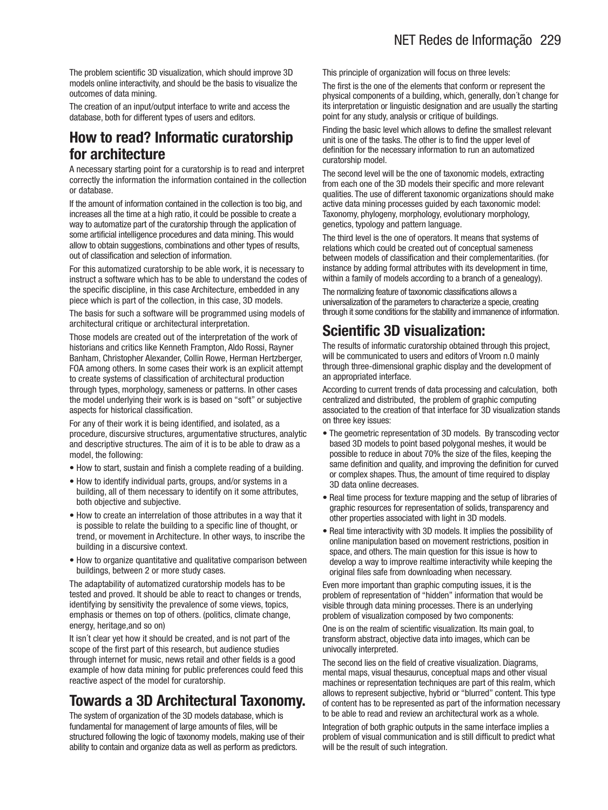The problem scientific 3D visualization, which should improve 3D models online interactivity, and should be the basis to visualize the outcomes of data mining.

The creation of an input/output interface to write and access the database, both for different types of users and editors.

#### **How to read? Informatic curatorship for architecture**

A necessary starting point for a curatorship is to read and interpret correctly the information the information contained in the collection or database.

If the amount of information contained in the collection is too big, and increases all the time at a high ratio, it could be possible to create a way to automatize part of the curatorship through the application of some artificial intelligence procedures and data mining. This would allow to obtain suggestions, combinations and other types of results, out of classification and selection of information.

For this automatized curatorship to be able work, it is necessary to instruct a software which has to be able to understand the codes of the specific discipline, in this case Architecture, embedded in any piece which is part of the collection, in this case, 3D models.

The basis for such a software will be programmed using models of architectural critique or architectural interpretation.

Those models are created out of the interpretation of the work of historians and critics like Kenneth Frampton, Aldo Rossi, Rayner Banham, Christopher Alexander, Collin Rowe, Herman Hertzberger, FOA among others. In some cases their work is an explicit attempt to create systems of classification of architectural production through types, morphology, sameness or patterns. In other cases the model underlying their work is is based on "soft" or subjective aspects for historical classification.

For any of their work it is being identified, and isolated, as a procedure, discursive structures, argumentative structures, analytic and descriptive structures. The aim of it is to be able to draw as a model, the following:

- How to start, sustain and finish a complete reading of a building.
- How to identify individual parts, groups, and/or systems in a building, all of them necessary to identify on it some attributes, both objective and subjective.
- How to create an interrelation of those attributes in a way that it is possible to relate the building to a specific line of thought, or trend, or movement in Architecture. In other ways, to inscribe the building in a discursive context.
- How to organize quantitative and qualitative comparison between buildings, between 2 or more study cases.

The adaptability of automatized curatorship models has to be tested and proved. It should be able to react to changes or trends, identifying by sensitivity the prevalence of some views, topics, emphasis or themes on top of others. (politics, climate change, energy, heritage,and so on)

It isn´t clear yet how it should be created, and is not part of the scope of the first part of this research, but audience studies through internet for music, news retail and other fields is a good example of how data mining for public preferences could feed this reactive aspect of the model for curatorship.

## **Towards a 3D Architectural Taxonomy.**

The system of organization of the 3D models database, which is fundamental for management of large amounts of files, will be structured following the logic of taxonomy models, making use of their ability to contain and organize data as well as perform as predictors.

This principle of organization will focus on three levels:

The first is the one of the elements that conform or represent the physical components of a building, which, generally, don´t change for its interpretation or linguistic designation and are usually the starting point for any study, analysis or critique of buildings.

Finding the basic level which allows to define the smallest relevant unit is one of the tasks. The other is to find the upper level of definition for the necessary information to run an automatized curatorship model.

The second level will be the one of taxonomic models, extracting from each one of the 3D models their specific and more relevant qualities. The use of different taxonomic organizations should make active data mining processes guided by each taxonomic model: Taxonomy, phylogeny, morphology, evolutionary morphology, genetics, typology and pattern language.

The third level is the one of operators. It means that systems of relations which could be created out of conceptual sameness between models of classification and their complementarities. (for instance by adding formal attributes with its development in time, within a family of models according to a branch of a genealogy).

The normalizing feature of taxonomic classifications allows a universalization of the parameters to characterize a specie, creating through it some conditions for the stability and immanence of information.

## **Scientific 3D visualization:**

The results of informatic curatorship obtained through this project, will be communicated to users and editors of Vroom n.0 mainly through three-dimensional graphic display and the development of an appropriated interface.

According to current trends of data processing and calculation, both centralized and distributed, the problem of graphic computing associated to the creation of that interface for 3D visualization stands on three key issues:

- The geometric representation of 3D models. By transcoding vector based 3D models to point based polygonal meshes, it would be possible to reduce in about 70% the size of the files, keeping the same definition and quality, and improving the definition for curved or complex shapes. Thus, the amount of time required to display 3D data online decreases.
- Real time process for texture mapping and the setup of libraries of graphic resources for representation of solids, transparency and other properties associated with light in 3D models.
- Real time interactivity with 3D models. It implies the possibility of online manipulation based on movement restrictions, position in space, and others. The main question for this issue is how to develop a way to improve realtime interactivity while keeping the original files safe from downloading when necessary.

Even more important than graphic computing issues, it is the problem of representation of "hidden" information that would be visible through data mining processes. There is an underlying problem of visualization composed by two components:

One is on the realm of scientific visualization. Its main goal, to transform abstract, objective data into images, which can be univocally interpreted.

The second lies on the field of creative visualization. Diagrams, mental maps, visual thesaurus, conceptual maps and other visual machines or representation techniques are part of this realm, which allows to represent subjective, hybrid or "blurred" content. This type of content has to be represented as part of the information necessary to be able to read and review an architectural work as a whole.

Integration of both graphic outputs in the same interface implies a problem of visual communication and is still difficult to predict what will be the result of such integration.